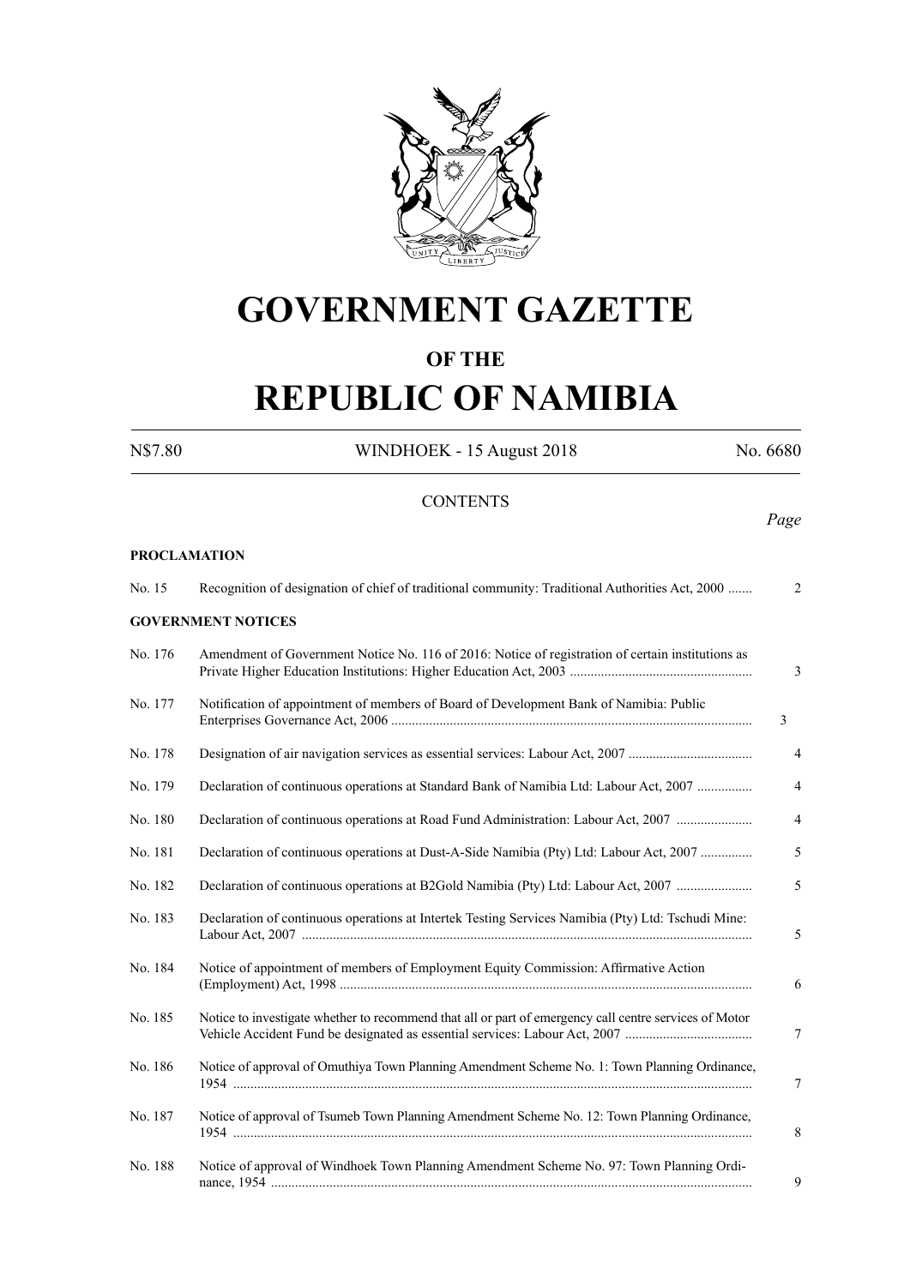

## **GOVERNMENT GAZETTE**

#### **OF THE**

# **REPUBLIC OF NAMIBIA**

N\$7.80 WINDHOEK - 15 August 2018 No. 6680

**CONTENTS** *Page* **PROCLAMATION** No. 15 Recognition of designation of chief of traditional community: Traditional Authorities Act, 2000 ....... 2 **GOVERNMENT NOTICES** No. 176 Amendment of Government Notice No. 116 of 2016: Notice of registration of certain institutions as Private Higher Education Institutions: Higher Education Act, 2003 ..................................................... 3 No. 177 Notification of appointment of members of Board of Development Bank of Namibia: Public Enterprises Governance Act, 2006 ......................................................................................................... 3 No. 178 Designation of air navigation services as essential services: Labour Act, 2007 .................................... 4 No. 179 Declaration of continuous operations at Standard Bank of Namibia Ltd: Labour Act, 2007 ................ 4 No. 180 Declaration of continuous operations at Road Fund Administration: Labour Act, 2007 ...................... 4 No. 181 Declaration of continuous operations at Dust-A-Side Namibia (Pty) Ltd: Labour Act, 2007 ............... 5 No. 182 Declaration of continuous operations at B2Gold Namibia (Pty) Ltd: Labour Act, 2007 ...................... 5 No. 183 Declaration of continuous operations at Intertek Testing Services Namibia (Pty) Ltd: Tschudi Mine: Labour Act, 2007 ................................................................................................................................... 5 No. 184 Notice of appointment of members of Employment Equity Commission: Affirmative Action (Employment) Act, 1998 ........................................................................................................................ 6 No. 185 Notice to investigate whether to recommend that all or part of emergency call centre services of Motor Vehicle Accident Fund be designated as essential services: Labour Act, 2007 ..................................... 7 No. 186 Notice of approval of Omuthiya Town Planning Amendment Scheme No. 1: Town Planning Ordinance, 1954 ....................................................................................................................................................... 7 No. 187 Notice of approval of Tsumeb Town Planning Amendment Scheme No. 12: Town Planning Ordinance, 1954 ....................................................................................................................................................... 8 No. 188 Notice of approval of Windhoek Town Planning Amendment Scheme No. 97: Town Planning Ordi nance, 1954 ............................................................................................................................................ 9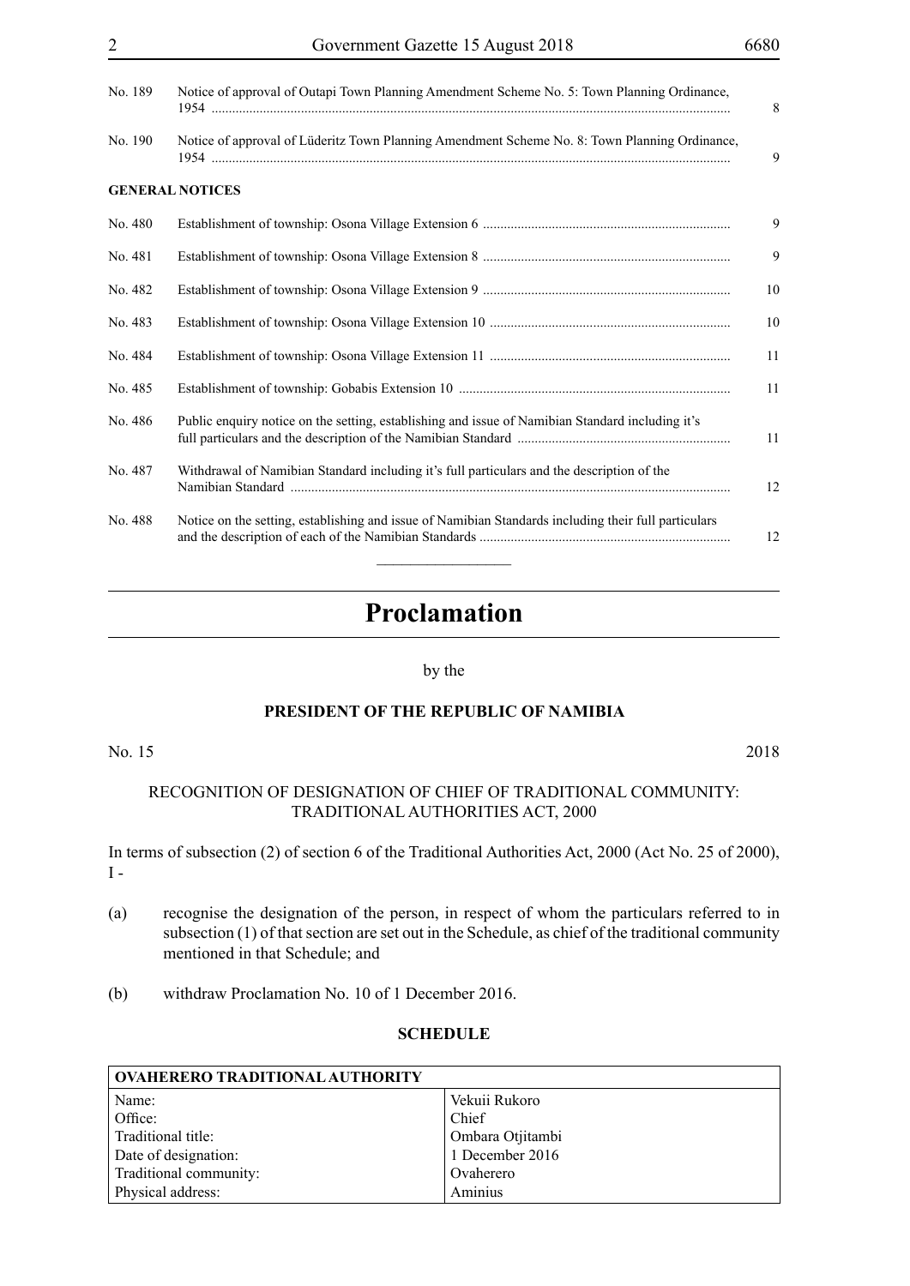| No. 189 | Notice of approval of Outapi Town Planning Amendment Scheme No. 5: Town Planning Ordinance,          | 8  |
|---------|------------------------------------------------------------------------------------------------------|----|
| No. 190 | Notice of approval of Lüderitz Town Planning Amendment Scheme No. 8: Town Planning Ordinance,        | 9  |
|         | <b>GENERAL NOTICES</b>                                                                               |    |
| No. 480 |                                                                                                      | 9  |
| No. 481 |                                                                                                      | 9  |
| No. 482 |                                                                                                      | 10 |
| No. 483 |                                                                                                      | 10 |
| No. 484 |                                                                                                      | 11 |
| No. 485 |                                                                                                      | 11 |
| No. 486 | Public enquiry notice on the setting, establishing and issue of Namibian Standard including it's     | 11 |
| No. 487 | Withdrawal of Namibian Standard including it's full particulars and the description of the           | 12 |
| No. 488 | Notice on the setting, establishing and issue of Namibian Standards including their full particulars | 12 |

### **Proclamation**

#### by the

#### **PRESIDENT OF THE REPUBLIC OF NAMIBIA**

No. 15 2018

#### RECOGNITION OF DESIGNATION OF CHIEF OF TRADITIONAL COMMUNITY: TRADITIONAL AUTHORITIES ACT, 2000

In terms of subsection (2) of section 6 of the Traditional Authorities Act, 2000 (Act No. 25 of 2000),  $I -$ 

- (a) recognise the designation of the person, in respect of whom the particulars referred to in subsection (1) of that section are set out in the Schedule, as chief of the traditional community mentioned in that Schedule; and
- (b) withdraw Proclamation No. 10 of 1 December 2016.

#### **SCHEDULE**

| <b>OVAHERERO TRADITIONAL AUTHORITY</b> |                  |  |
|----------------------------------------|------------------|--|
| Name:                                  | Vekuii Rukoro    |  |
| Office:                                | Chief            |  |
| Traditional title:                     | Ombara Otjitambi |  |
| Date of designation:                   | 1 December 2016  |  |
| Traditional community:                 | Ovaherero        |  |
| Physical address:                      | Aminius          |  |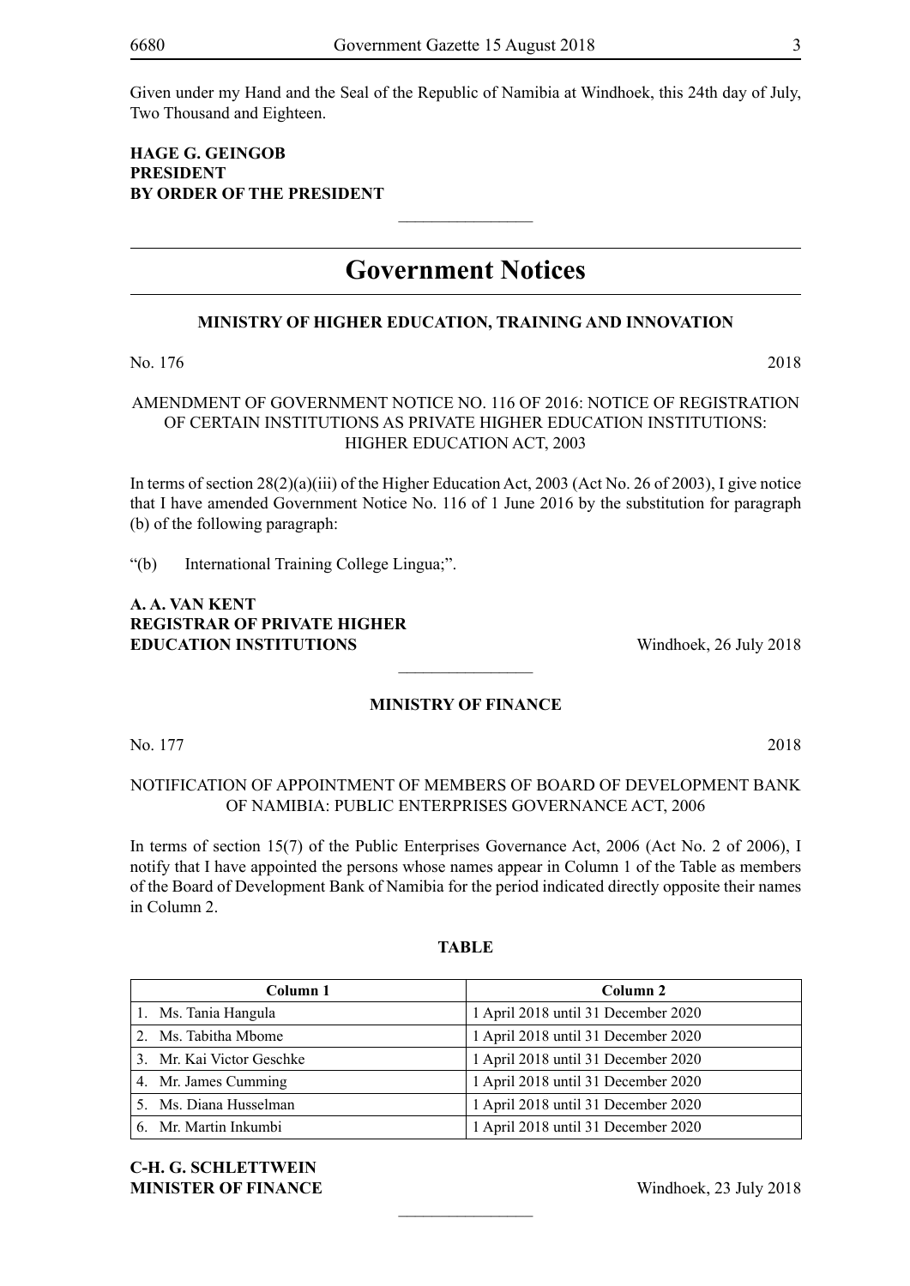Given under my Hand and the Seal of the Republic of Namibia at Windhoek, this 24th day of July, Two Thousand and Eighteen.

#### **HAGE G. GEINGOB President BY ORDER OF THE PRESIDENT**

### **Government Notices**

 $\frac{1}{2}$ 

#### **MINISTRY OF HIGHER EDUCATION, TRAINING AND INNOVATION**

No. 176 2018

#### AMENDMENT OF GOVERNMENT NOTICE NO. 116 OF 2016: NOTICE OF REGISTRATION OF CERTAIN INSTITUTIONS AS PRIVATE HIGHER EDUCATION INSTITUTIONS: HIGHER EDUCATION ACT, 2003

In terms of section 28(2)(a)(iii) of the Higher Education Act, 2003 (Act No. 26 of 2003), I give notice that I have amended Government Notice No. 116 of 1 June 2016 by the substitution for paragraph (b) of the following paragraph:

"(b) International Training College Lingua;".

#### **A. A. VAN KENT REGISTRAR OF PRIVATE HIGHER EDUCATION INSTITUTIONS** Windhoek, 26 July 2018

#### **MINISTRY OF FINANCE**

 $\frac{1}{2}$ 

No. 177 2018

#### NOTIFICATION OF APPOINTMENT OF MEMBERS OF BOARD OF DEVELOPMENT BANK OF NAMIBIA: PUBLIC ENTERPRISES GOVERNANCE ACT, 2006

In terms of section 15(7) of the Public Enterprises Governance Act, 2006 (Act No. 2 of 2006), I notify that I have appointed the persons whose names appear in Column 1 of the Table as members of the Board of Development Bank of Namibia for the period indicated directly opposite their names in Column 2.

#### **TABLE**

| Column 1                  | Column 2                            |
|---------------------------|-------------------------------------|
| 1. Ms. Tania Hangula      | 1 April 2018 until 31 December 2020 |
| 2. Ms. Tabitha Mbome      | 1 April 2018 until 31 December 2020 |
| 3. Mr. Kai Victor Geschke | 1 April 2018 until 31 December 2020 |
| 4. Mr. James Cumming      | 1 April 2018 until 31 December 2020 |
| 5. Ms. Diana Husselman    | 1 April 2018 until 31 December 2020 |
| 6. Mr. Martin Inkumbi     | 1 April 2018 until 31 December 2020 |

 $\frac{1}{2}$ 

**C-H. G. Schlettwein MINISTER OF FINANCE** Windhoek, 23 July 2018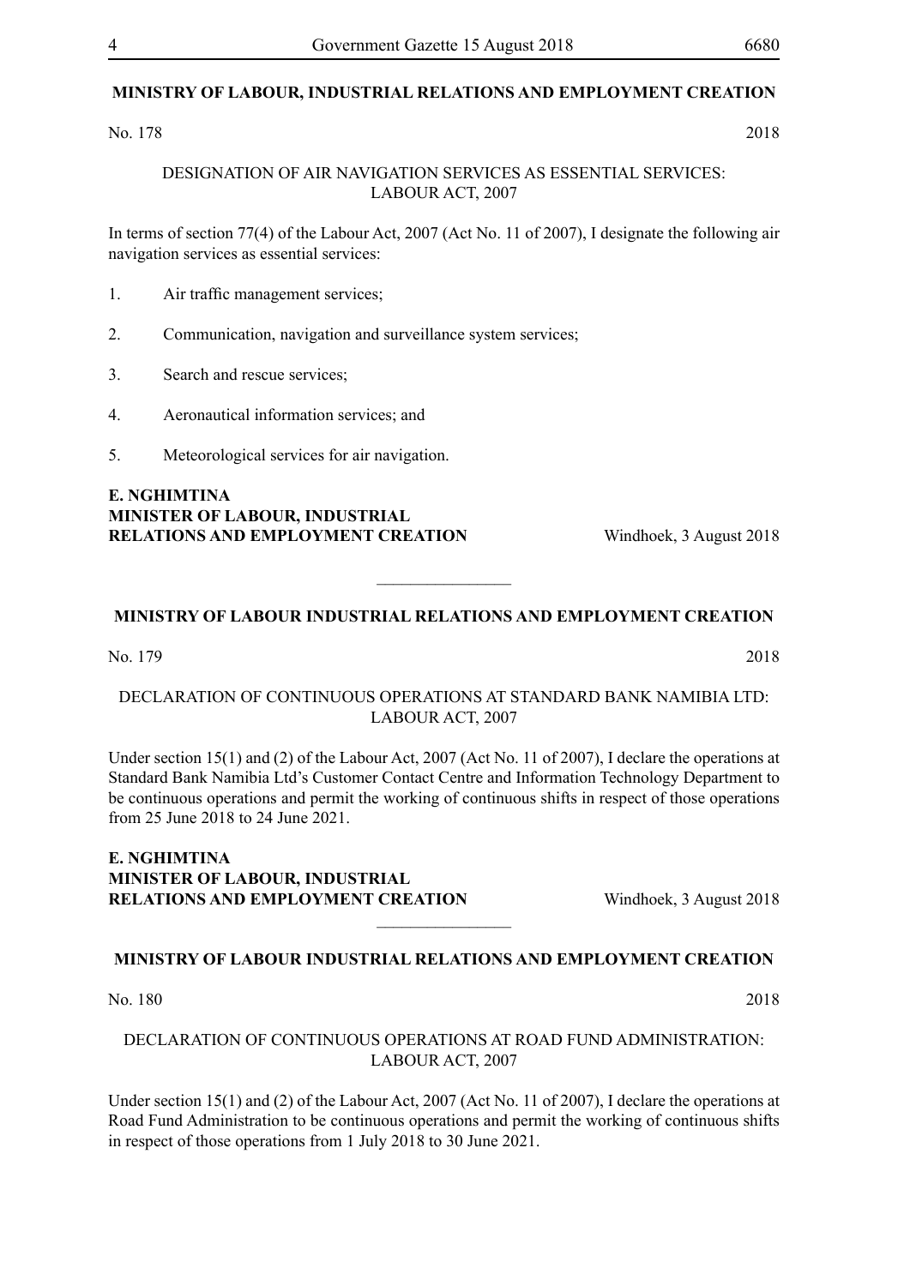#### **MINISTRY OF LABOUR, INDUSTRIAL RELATIONS AND EMPLOYMENT CREATION**

No. 178 2018

DESIGNATION OF AIR NAVIGATION SERVICES AS ESSENTIAL SERVICES: LABOUR ACT, 2007

In terms of section 77(4) of the Labour Act, 2007 (Act No. 11 of 2007), I designate the following air navigation services as essential services:

- 1. Air traffic management services;
- 2. Communication, navigation and surveillance system services;
- 3. Search and rescue services;
- 4. Aeronautical information services; and
- 5. Meteorological services for air navigation.

**E. NGHIMTINA MINISTER OF LABOUR, INDUSTRIAL RELATIONS AND EMPLOYMENT CREATION** Windhoek, 3 August 2018

#### **MINISTRY OF LABOUR INDUSTRIAL RELATIONS AND EMPLOYMENT CREATION**

 $\overline{\phantom{a}}$  , where  $\overline{\phantom{a}}$ 

No. 179 2018

DECLARATION OF CONTINUOUS OPERATIONS AT STANDARD BANK NAMIBIA LTD: LABOUR ACT, 2007

Under section 15(1) and (2) of the Labour Act, 2007 (Act No. 11 of 2007), I declare the operations at Standard Bank Namibia Ltd's Customer Contact Centre and Information Technology Department to be continuous operations and permit the working of continuous shifts in respect of those operations from 25 June 2018 to 24 June 2021.

#### **E. NGHIMTINA MINISTER OF LABOUR, INDUSTRIAL RELATIONS AND EMPLOYMENT CREATION** Windhoek, 3 August 2018

**MINISTRY OF LABOUR INDUSTRIAL RELATIONS AND EMPLOYMENT CREATION**

 $\frac{1}{2}$ 

No. 180 2018

#### DECLARATION OF CONTINUOUS OPERATIONS AT ROAD FUND ADMINISTRATION: LABOUR ACT, 2007

Under section 15(1) and (2) of the Labour Act, 2007 (Act No. 11 of 2007), I declare the operations at Road Fund Administration to be continuous operations and permit the working of continuous shifts in respect of those operations from 1 July 2018 to 30 June 2021.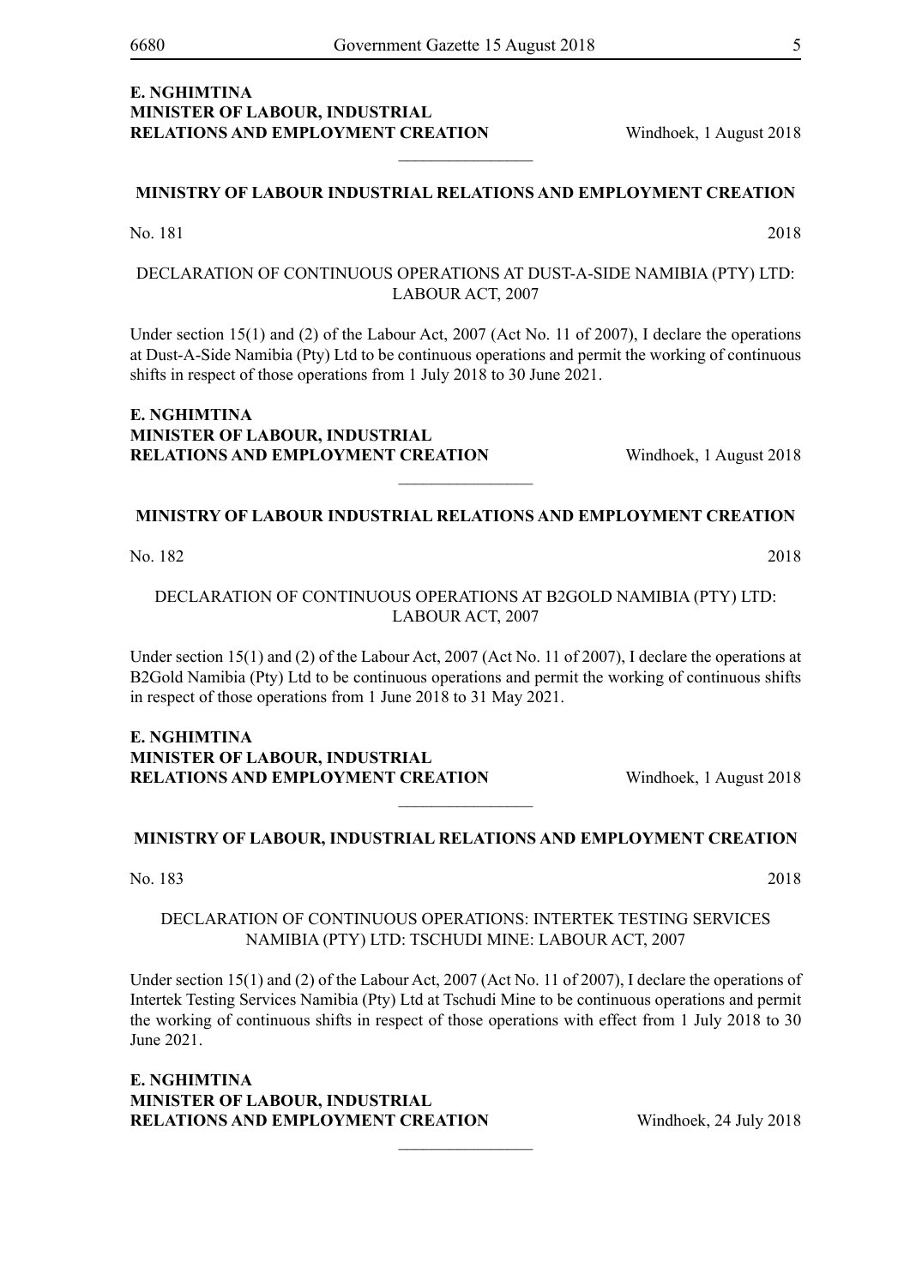#### **E. NGHIMTINA MINISTER OF LABOUR, INDUSTRIAL RELATIONS AND EMPLOYMENT CREATION** Windhoek, 1 August 2018

#### **MINISTRY OF LABOUR INDUSTRIAL RELATIONS AND EMPLOYMENT CREATION**

 $\frac{1}{2}$ 

No. 181 2018

DECLARATION OF CONTINUOUS OPERATIONS AT DUST-A-SIDE NAMIBIA (PTY) LTD: LABOUR ACT, 2007

Under section 15(1) and (2) of the Labour Act, 2007 (Act No. 11 of 2007), I declare the operations at Dust-A-Side Namibia (Pty) Ltd to be continuous operations and permit the working of continuous shifts in respect of those operations from 1 July 2018 to 30 June 2021.

#### **E. NGHIMTINA MINISTER OF LABOUR, INDUSTRIAL RELATIONS AND EMPLOYMENT CREATION** Windhoek, 1 August 2018

#### **MINISTRY OF LABOUR INDUSTRIAL RELATIONS AND EMPLOYMENT CREATION**

 $\overline{\phantom{a}}$  , where  $\overline{\phantom{a}}$ 

No. 182 2018

DECLARATION OF CONTINUOUS OPERATIONS AT B2GOLD NAMIBIA (PTY) LTD: LABOUR ACT, 2007

Under section 15(1) and (2) of the Labour Act, 2007 (Act No. 11 of 2007), I declare the operations at B2Gold Namibia (Pty) Ltd to be continuous operations and permit the working of continuous shifts in respect of those operations from 1 June 2018 to 31 May 2021.

#### **E. NGHIMTINA MINISTER OF LABOUR, INDUSTRIAL RELATIONS AND EMPLOYMENT CREATION** Windhoek, 1 August 2018

#### **MINISTRY OF LABOUR, INDUSTRIAL RELATIONS AND EMPLOYMENT CREATION**

 $\frac{1}{2}$ 

No. 183 2018

#### DECLARATION OF CONTINUOUS OPERATIONS: INTERTEK TESTING SERVICES NAMIBIA (PTY) LTD: TSCHUDI MINE: LABOUR ACT, 2007

Under section 15(1) and (2) of the Labour Act, 2007 (Act No. 11 of 2007), I declare the operations of Intertek Testing Services Namibia (Pty) Ltd at Tschudi Mine to be continuous operations and permit the working of continuous shifts in respect of those operations with effect from 1 July 2018 to 30 June 2021.

 $\overline{\phantom{a}}$  , where  $\overline{\phantom{a}}$ 

**E. NGHIMTINA MINISTER OF LABOUR, INDUSTRIAL RELATIONS AND EMPLOYMENT CREATION** Windhoek, 24 July 2018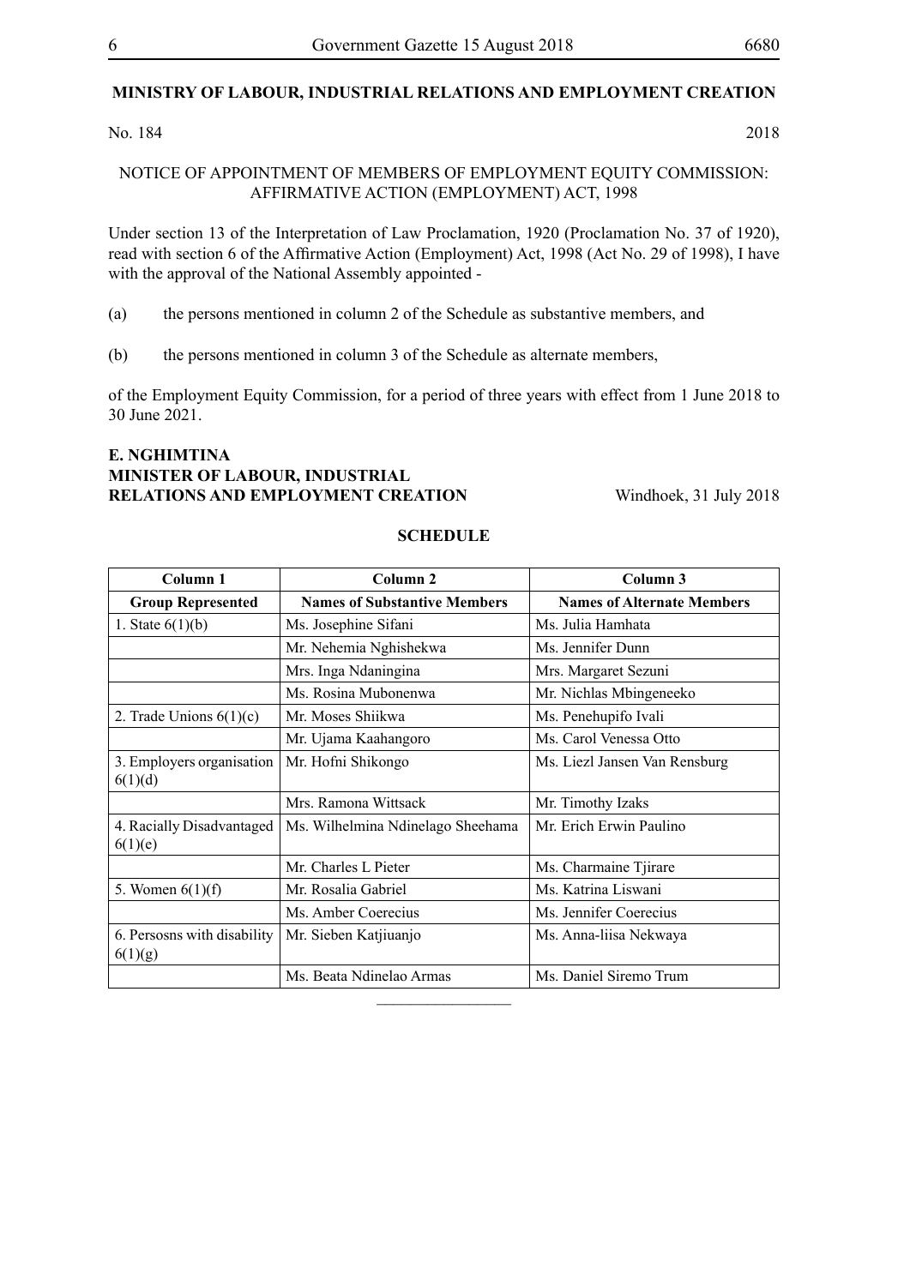#### **MINISTRY OF LABOUR, INDUSTRIAL RELATIONS AND EMPLOYMENT CREATION**

No. 184 2018

#### NOTICE OF APPOINTMENT OF MEMBERS OF EMPLOYMENT EQUITY COMMISSION: AFFIRMATIVE ACTION (EMPLOYMENT) ACT, 1998

Under section 13 of the Interpretation of Law Proclamation, 1920 (Proclamation No. 37 of 1920), read with section 6 of the Affirmative Action (Employment) Act, 1998 (Act No. 29 of 1998), I have with the approval of the National Assembly appointed -

(a) the persons mentioned in column 2 of the Schedule as substantive members, and

(b) the persons mentioned in column 3 of the Schedule as alternate members,

of the Employment Equity Commission, for a period of three years with effect from 1 June 2018 to 30 June 2021.

#### **E. NGHIMTINA MINISTER OF LABOUR, INDUSTRIAL RELATIONS AND EMPLOYMENT CREATION** Windhoek, 31 July 2018

| Column 1                    | Column 2                            | Column 3                          |
|-----------------------------|-------------------------------------|-----------------------------------|
| <b>Group Represented</b>    | <b>Names of Substantive Members</b> | <b>Names of Alternate Members</b> |
| 1. State $6(1)(b)$          | Ms. Josephine Sifani                | Ms. Julia Hamhata                 |
|                             | Mr. Nehemia Nghishekwa              | Ms. Jennifer Dunn                 |
|                             | Mrs. Inga Ndaningina                | Mrs. Margaret Sezuni              |
|                             | Ms. Rosina Mubonenwa                | Mr. Nichlas Mbingeneeko           |
| 2. Trade Unions $6(1)(c)$   | Mr. Moses Shiikwa                   | Ms. Penehupifo Ivali              |
|                             | Mr. Ujama Kaahangoro                | Ms. Carol Venessa Otto            |
| 3. Employers organisation   | Mr. Hofni Shikongo                  | Ms. Liezl Jansen Van Rensburg     |
| 6(1)(d)                     |                                     |                                   |
|                             | Mrs. Ramona Wittsack                | Mr. Timothy Izaks                 |
| 4. Racially Disadvantaged   | Ms. Wilhelmina Ndinelago Sheehama   | Mr. Erich Erwin Paulino           |
| 6(1)(e)                     |                                     |                                   |
|                             | Mr. Charles L Pieter                | Ms. Charmaine Tjirare             |
| 5. Women $6(1)(f)$          | Mr. Rosalia Gabriel                 | Ms. Katrina Liswani               |
|                             | Ms. Amber Coerecius                 | Ms. Jennifer Coerecius            |
| 6. Persosns with disability | Mr. Sieben Katjiuanjo               | Ms. Anna-liisa Nekwaya            |
| 6(1)(g)                     |                                     |                                   |
|                             | Ms. Beata Ndinelao Armas            | Ms. Daniel Siremo Trum            |
|                             |                                     |                                   |

#### **SCHEDULE**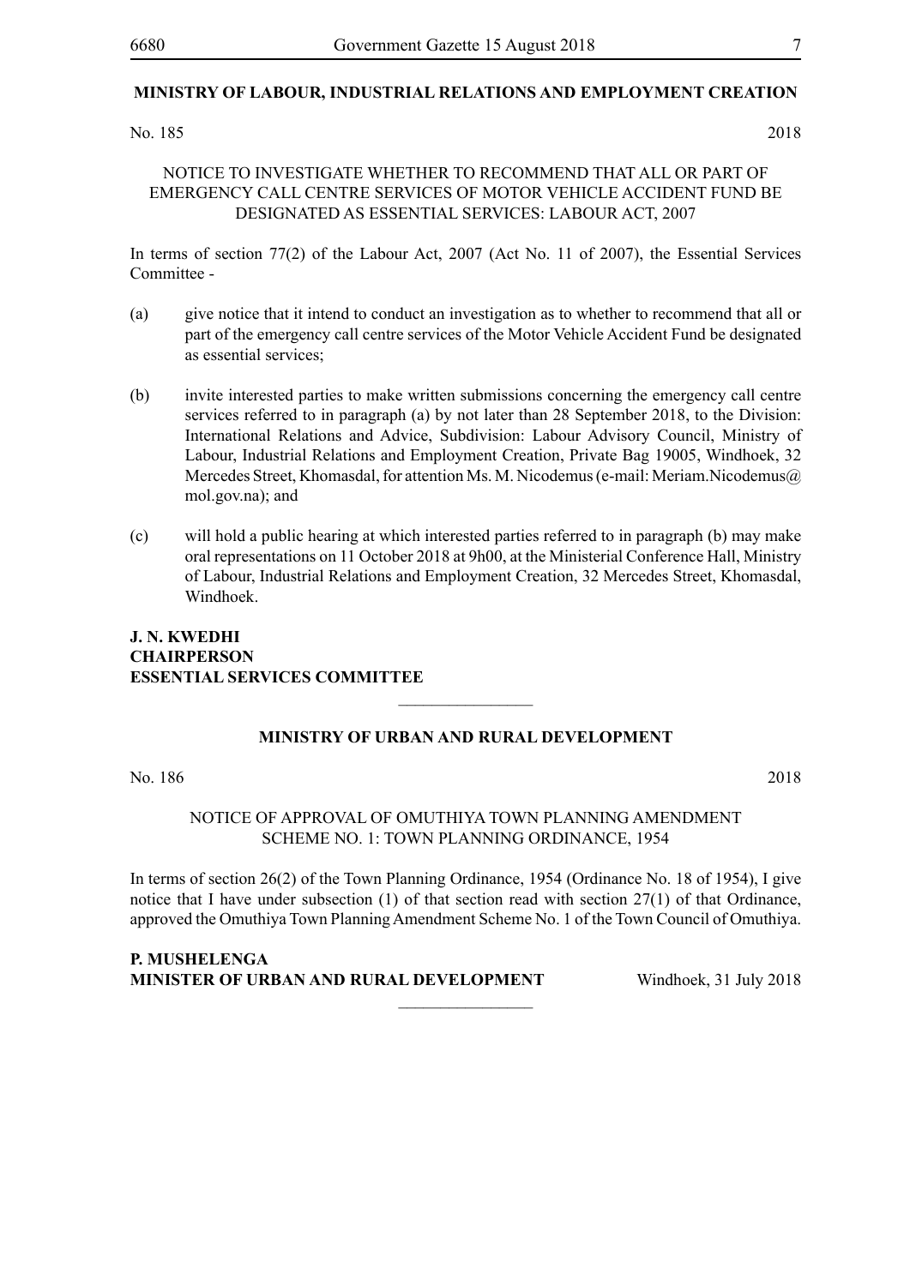#### **MINISTRY OF LABOUR, INDUSTRIAL RELATIONS AND EMPLOYMENT CREATION**

#### No. 185 2018

#### NOTICE TO INVESTIGATE WHETHER TO RECOMMEND THAT ALL OR PART OF EMERGENCY CALL CENTRE SERVICES OF MOTOR VEHICLE ACCIDENT FUND BE DESIGNATED AS ESSENTIAL SERVICES: LABOUR ACT, 2007

In terms of section 77(2) of the Labour Act, 2007 (Act No. 11 of 2007), the Essential Services Committee -

- (a) give notice that it intend to conduct an investigation as to whether to recommend that all or part of the emergency call centre services of the Motor Vehicle Accident Fund be designated as essential services;
- (b) invite interested parties to make written submissions concerning the emergency call centre services referred to in paragraph (a) by not later than 28 September 2018, to the Division: International Relations and Advice, Subdivision: Labour Advisory Council, Ministry of Labour, Industrial Relations and Employment Creation, Private Bag 19005, Windhoek, 32 Mercedes Street, Khomasdal, for attention Ms. M. Nicodemus (e-mail: Meriam.Nicodemus@) mol.gov.na); and
- (c) will hold a public hearing at which interested parties referred to in paragraph (b) may make oral representations on 11 October 2018 at 9h00, at the Ministerial Conference Hall, Ministry of Labour, Industrial Relations and Employment Creation, 32 Mercedes Street, Khomasdal, Windhoek.

#### **J. N. KWEDHI Chairperson Essential Services Committee**

#### **MINISTRY OF URBAN AND RURAL DEVELOPMENT**

 $\frac{1}{2}$ 

No. 186 2018

#### NOTICE OF APPROVAL OF OMUTHIYA TOWN PLANNING AMENDMENT SCHEME NO. 1: TOWN PLANNING ORDINANCE, 1954

In terms of section 26(2) of the Town Planning Ordinance, 1954 (Ordinance No. 18 of 1954), I give notice that I have under subsection (1) of that section read with section 27(1) of that Ordinance, approved the Omuthiya Town Planning Amendment Scheme No. 1 of the Town Council of Omuthiya.

 $\frac{1}{2}$ 

**P. MUSHELENGA MINISTER OF URBAN AND RURAL DEVELOPMENT** Windhoek. 31 July 2018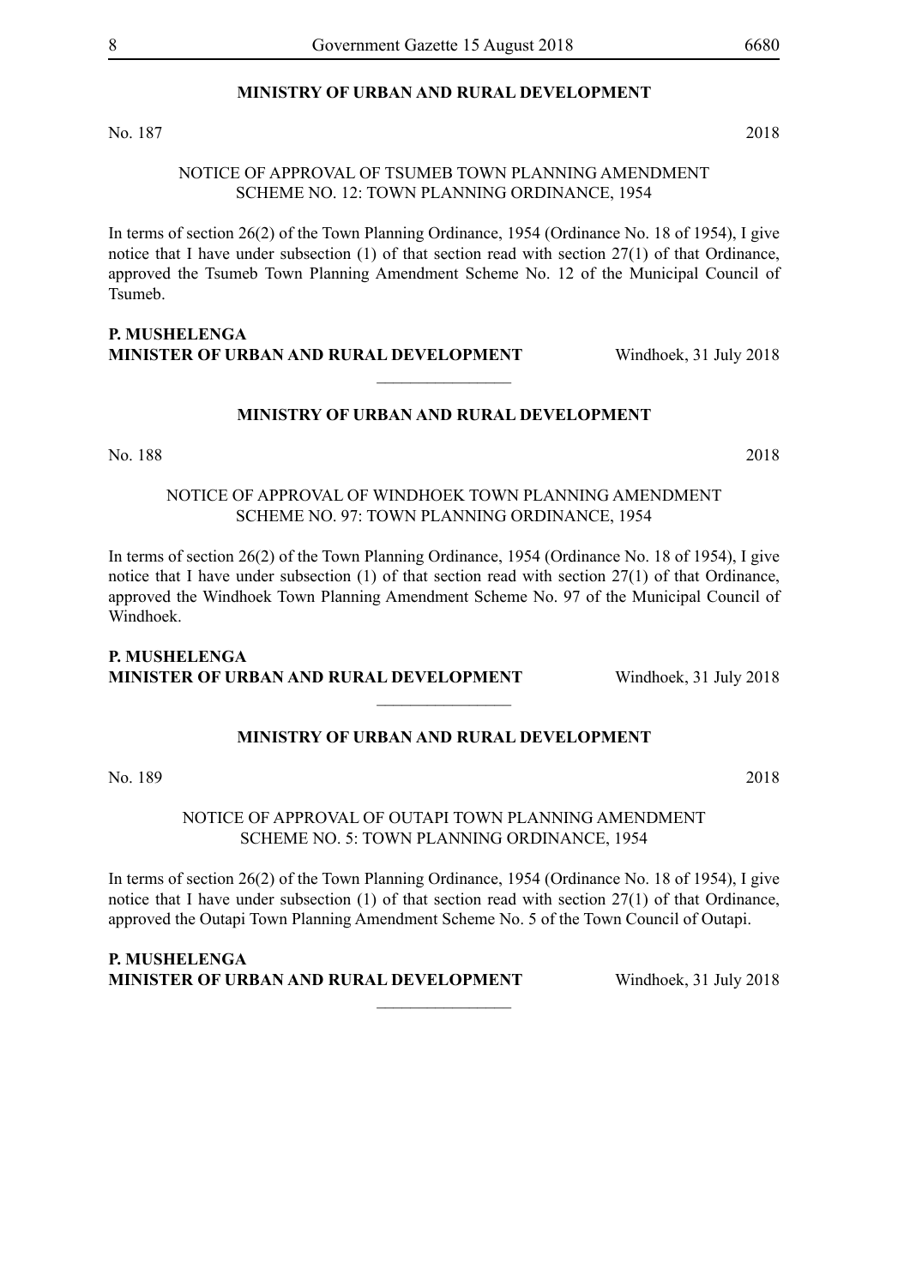#### **MINISTRY OF URBAN AND RURAL DEVELOPMENT**

No. 187 2018

#### NOTICE OF APPROVAL OF TSUMEB TOWN PLANNING AMENDMENT SCHEME NO. 12: TOWN PLANNING ORDINANCE, 1954

In terms of section 26(2) of the Town Planning Ordinance, 1954 (Ordinance No. 18 of 1954), I give notice that I have under subsection (1) of that section read with section 27(1) of that Ordinance, approved the Tsumeb Town Planning Amendment Scheme No. 12 of the Municipal Council of Tsumeb.

#### **P. MUSHELENGA MINISTER OF URBAN AND RURAL DEVELOPMENT** Windhoek, 31 July 2018

#### **MINISTRY OF URBAN AND RURAL DEVELOPMENT**

 $\overline{\phantom{a}}$  , where  $\overline{\phantom{a}}$ 

No. 188 2018

NOTICE OF APPROVAL OF WINDHOEK TOWN PLANNING AMENDMENT SCHEME NO. 97: TOWN PLANNING ORDINANCE, 1954

In terms of section 26(2) of the Town Planning Ordinance, 1954 (Ordinance No. 18 of 1954), I give notice that I have under subsection (1) of that section read with section 27(1) of that Ordinance, approved the Windhoek Town Planning Amendment Scheme No. 97 of the Municipal Council of Windhoek.

#### **P. MUSHELENGA MINISTER OF URBAN AND RURAL DEVELOPMENT** Windhoek, 31 July 2018

#### **MINISTRY OF URBAN AND RURAL DEVELOPMENT**

 $\frac{1}{2}$ 

No. 189 2018

NOTICE OF APPROVAL OF OUTAPI TOWN PLANNING AMENDMENT SCHEME NO. 5: TOWN PLANNING ORDINANCE, 1954

In terms of section 26(2) of the Town Planning Ordinance, 1954 (Ordinance No. 18 of 1954), I give notice that I have under subsection (1) of that section read with section 27(1) of that Ordinance, approved the Outapi Town Planning Amendment Scheme No. 5 of the Town Council of Outapi.

 $\frac{1}{2}$ 

**P. MUSHELENGA MINISTER OF URBAN AND RURAL DEVELOPMENT** Windhoek, 31 July 2018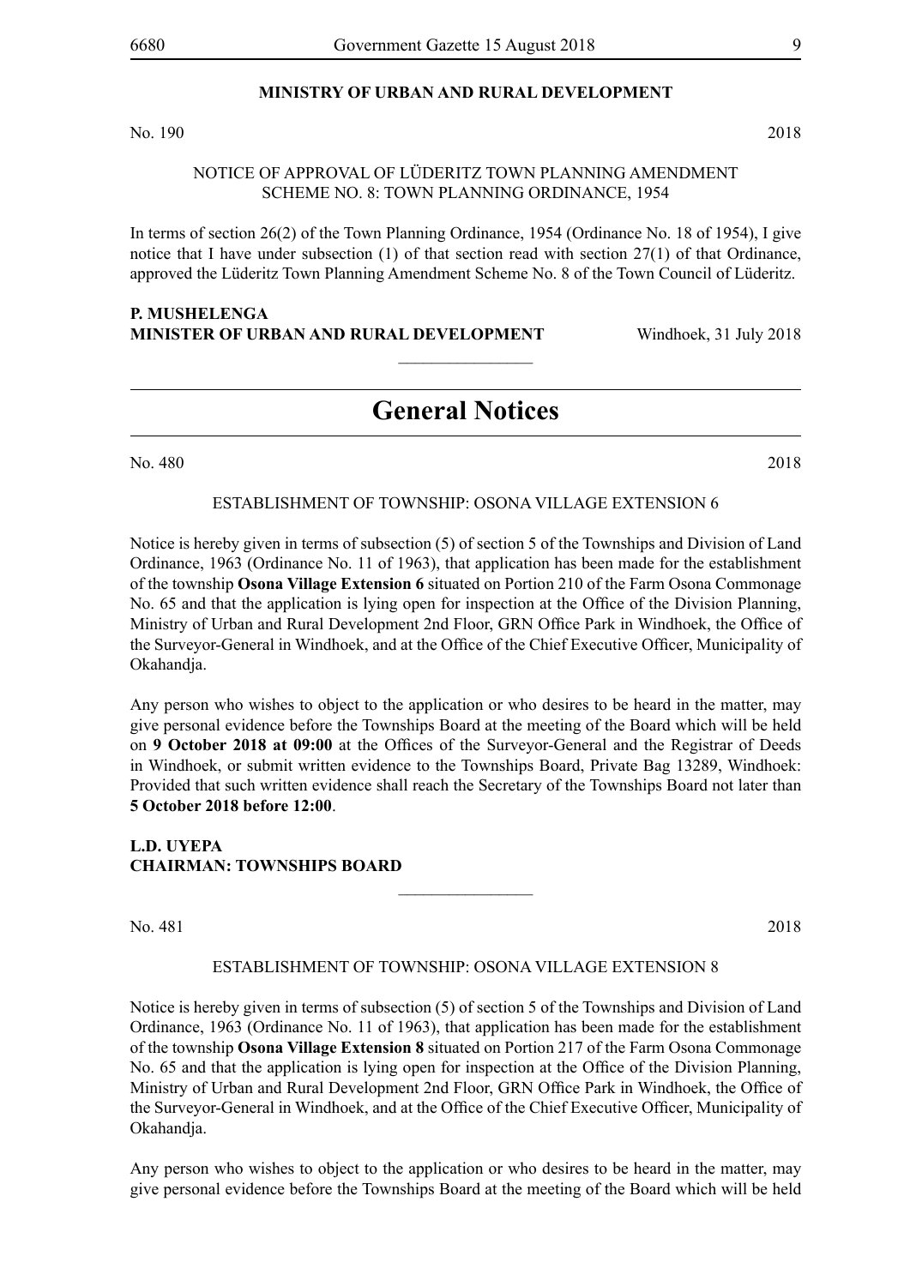#### **MINISTRY OF URBAN AND RURAL DEVELOPMENT**

No. 190 2018

#### NOTICE OF APPROVAL OF Lüderitz TOWN PLANNING AMENDMENT SCHEME NO. 8: TOWN PLANNING ORDINANCE, 1954

In terms of section 26(2) of the Town Planning Ordinance, 1954 (Ordinance No. 18 of 1954), I give notice that I have under subsection (1) of that section read with section 27(1) of that Ordinance, approved the Lüderitz Town Planning Amendment Scheme No. 8 of the Town Council of Lüderitz.

#### **P. MUSHELENGA MINISTER OF URBAN AND RURAL DEVELOPMENT** Windhoek, 31 July 2018

### **General Notices**

 $\frac{1}{2}$ 

No. 480 2018

#### ESTABLISHMENT OF TOWNSHIP: OSONA VILLAGE EXTENSION 6

Notice is hereby given in terms of subsection (5) of section 5 of the Townships and Division of Land Ordinance, 1963 (Ordinance No. 11 of 1963), that application has been made for the establishment of the township **Osona Village Extension 6** situated on Portion 210 of the Farm Osona Commonage No. 65 and that the application is lying open for inspection at the Office of the Division Planning, Ministry of Urban and Rural Development 2nd Floor, GRN Office Park in Windhoek, the Office of the Surveyor-General in Windhoek, and at the Office of the Chief Executive Officer, Municipality of Okahandja.

Any person who wishes to object to the application or who desires to be heard in the matter, may give personal evidence before the Townships Board at the meeting of the Board which will be held on **9 October 2018 at 09:00** at the Offices of the Surveyor-General and the Registrar of Deeds in Windhoek, or submit written evidence to the Townships Board, Private Bag 13289, Windhoek: Provided that such written evidence shall reach the Secretary of the Townships Board not later than **5 October 2018 before 12:00**.

**L.D. UYEPA CHAIRMAN: TOWNSHIPS BOARD**

No. 481 2018

#### ESTABLISHMENT OF TOWNSHIP: OSONA VILLAGE EXTENSION 8

 $\frac{1}{2}$ 

Notice is hereby given in terms of subsection (5) of section 5 of the Townships and Division of Land Ordinance, 1963 (Ordinance No. 11 of 1963), that application has been made for the establishment of the township **Osona Village Extension 8** situated on Portion 217 of the Farm Osona Commonage No. 65 and that the application is lying open for inspection at the Office of the Division Planning, Ministry of Urban and Rural Development 2nd Floor, GRN Office Park in Windhoek, the Office of the Surveyor-General in Windhoek, and at the Office of the Chief Executive Officer, Municipality of Okahandja.

Any person who wishes to object to the application or who desires to be heard in the matter, may give personal evidence before the Townships Board at the meeting of the Board which will be held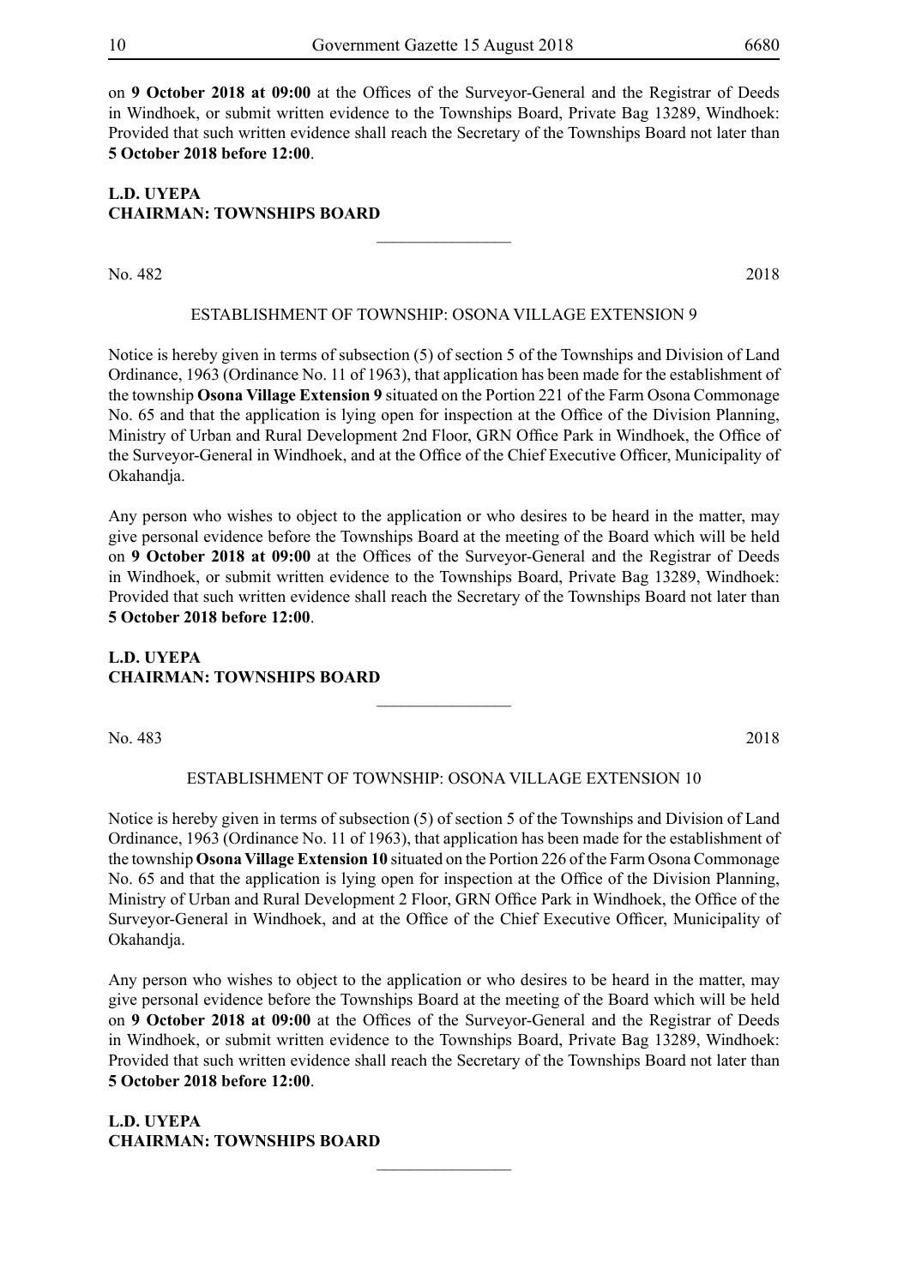on **9 October 2018 at 09:00** at the Offices of the Surveyor-General and the Registrar of Deeds in Windhoek, or submit written evidence to the Townships Board, Private Bag 13289, Windhoek: Provided that such written evidence shall reach the Secretary of the Townships Board not later than **5 October 2018 before 12:00**.

#### **L.D. UYEPA CHAIRMAN: TOWNSHIPS BOARD**

No. 482 2018

#### ESTABLISHMENT OF TOWNSHIP: OSONA VILLAGE EXTENSION 9

 $\overline{\phantom{a}}$  , where  $\overline{\phantom{a}}$ 

Notice is hereby given in terms of subsection (5) of section 5 of the Townships and Division of Land Ordinance, 1963 (Ordinance No. 11 of 1963), that application has been made for the establishment of the township **Osona Village Extension 9** situated on the Portion 221 of the Farm Osona Commonage No. 65 and that the application is lying open for inspection at the Office of the Division Planning, Ministry of Urban and Rural Development 2nd Floor, GRN Office Park in Windhoek, the Office of the Surveyor-General in Windhoek, and at the Office of the Chief Executive Officer, Municipality of Okahandja.

Any person who wishes to object to the application or who desires to be heard in the matter, may give personal evidence before the Townships Board at the meeting of the Board which will be held on **9 October 2018 at 09:00** at the Offices of the Surveyor-General and the Registrar of Deeds in Windhoek, or submit written evidence to the Townships Board, Private Bag 13289, Windhoek: Provided that such written evidence shall reach the Secretary of the Townships Board not later than **5 October 2018 before 12:00**.

#### **L.D. UYEPA CHAIRMAN: TOWNSHIPS BOARD**

No. 483 2018

#### ESTABLISHMENT OF TOWNSHIP: OSONA VILLAGE EXTENSION 10

 $\overline{\phantom{a}}$  , where  $\overline{\phantom{a}}$ 

Notice is hereby given in terms of subsection (5) of section 5 of the Townships and Division of Land Ordinance, 1963 (Ordinance No. 11 of 1963), that application has been made for the establishment of the township **Osona Village Extension 10** situated on the Portion 226 of the Farm Osona Commonage No. 65 and that the application is lying open for inspection at the Office of the Division Planning, Ministry of Urban and Rural Development 2 Floor, GRN Office Park in Windhoek, the Office of the Surveyor-General in Windhoek, and at the Office of the Chief Executive Officer, Municipality of Okahandja.

Any person who wishes to object to the application or who desires to be heard in the matter, may give personal evidence before the Townships Board at the meeting of the Board which will be held on **9 October 2018 at 09:00** at the Offices of the Surveyor-General and the Registrar of Deeds in Windhoek, or submit written evidence to the Townships Board, Private Bag 13289, Windhoek: Provided that such written evidence shall reach the Secretary of the Townships Board not later than **5 October 2018 before 12:00**.

 $\frac{1}{2}$ 

**L.D. UYEPA CHAIRMAN: TOWNSHIPS BOARD**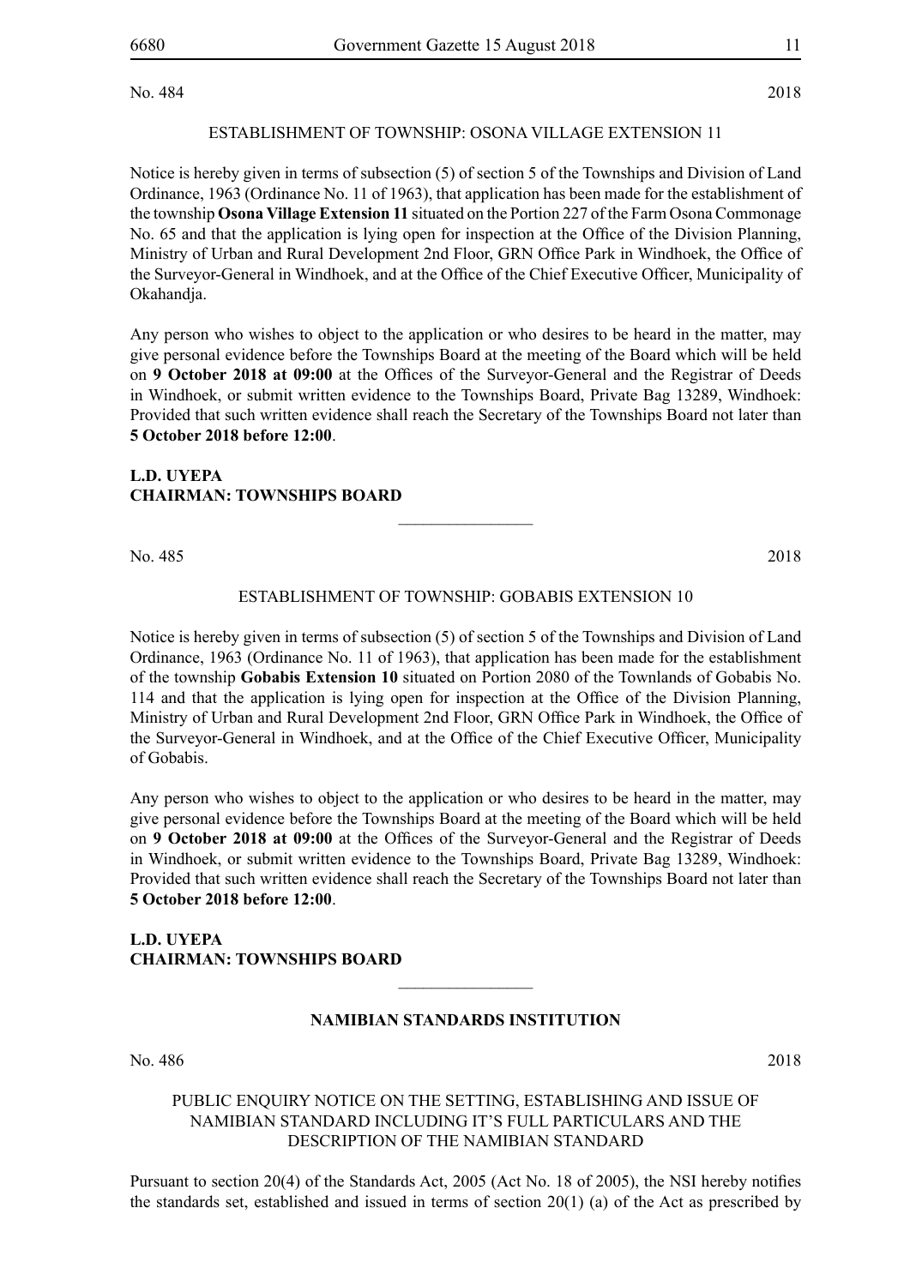No. 484 2018

#### ESTABLISHMENT OF TOWNSHIP: OSONA VILLAGE EXTENSION 11

Notice is hereby given in terms of subsection (5) of section 5 of the Townships and Division of Land Ordinance, 1963 (Ordinance No. 11 of 1963), that application has been made for the establishment of the township **Osona Village Extension 11** situated on the Portion 227 of the Farm Osona Commonage No. 65 and that the application is lying open for inspection at the Office of the Division Planning, Ministry of Urban and Rural Development 2nd Floor, GRN Office Park in Windhoek, the Office of the Surveyor-General in Windhoek, and at the Office of the Chief Executive Officer, Municipality of Okahandja.

Any person who wishes to object to the application or who desires to be heard in the matter, may give personal evidence before the Townships Board at the meeting of the Board which will be held on **9 October 2018 at 09:00** at the Offices of the Surveyor-General and the Registrar of Deeds in Windhoek, or submit written evidence to the Townships Board, Private Bag 13289, Windhoek: Provided that such written evidence shall reach the Secretary of the Townships Board not later than **5 October 2018 before 12:00**.

#### **L.D. UYEPA CHAIRMAN: TOWNSHIPS BOARD**

No. 485 2018

#### ESTABLISHMENT OF TOWNSHIP: GOBABIS EXTENSION 10

 $\overline{\phantom{a}}$  , where  $\overline{\phantom{a}}$ 

Notice is hereby given in terms of subsection (5) of section 5 of the Townships and Division of Land Ordinance, 1963 (Ordinance No. 11 of 1963), that application has been made for the establishment of the township **Gobabis Extension 10** situated on Portion 2080 of the Townlands of Gobabis No. 114 and that the application is lying open for inspection at the Office of the Division Planning, Ministry of Urban and Rural Development 2nd Floor, GRN Office Park in Windhoek, the Office of the Surveyor-General in Windhoek, and at the Office of the Chief Executive Officer, Municipality of Gobabis.

Any person who wishes to object to the application or who desires to be heard in the matter, may give personal evidence before the Townships Board at the meeting of the Board which will be held on **9 October 2018 at 09:00** at the Offices of the Surveyor-General and the Registrar of Deeds in Windhoek, or submit written evidence to the Townships Board, Private Bag 13289, Windhoek: Provided that such written evidence shall reach the Secretary of the Townships Board not later than **5 October 2018 before 12:00**.

#### **L.D. UYEPA CHAIRMAN: TOWNSHIPS BOARD**

#### **NAMIBIAN STANDARDS INSTITUTION**

 $\frac{1}{2}$ 

No. 486 2018

#### PUBLIC ENQUIRY NOTICE ON THE SETTING, ESTABLISHING AND ISSUE OF NAMIBIAN STANDARD INCLUDING IT'S FULL PARTICULARS AND THE DESCRIPTION OF THE NAMIBIAN STANDARD

Pursuant to section 20(4) of the Standards Act, 2005 (Act No. 18 of 2005), the NSI hereby notifies the standards set, established and issued in terms of section 20(1) (a) of the Act as prescribed by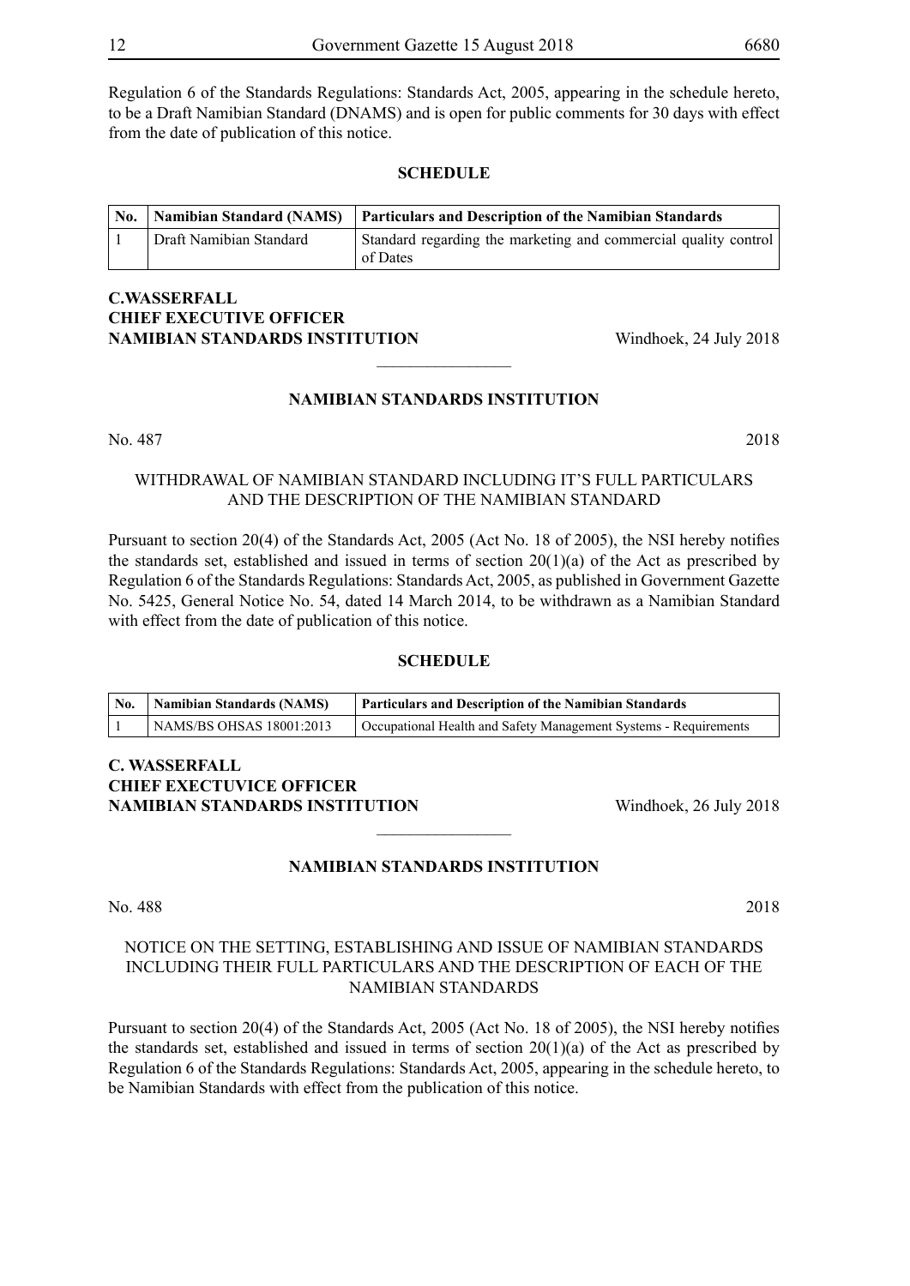Regulation 6 of the Standards Regulations: Standards Act, 2005, appearing in the schedule hereto, to be a Draft Namibian Standard (DNAMS) and is open for public comments for 30 days with effect from the date of publication of this notice.

#### **SCHEDULE**

| No. |                         | <b>Namibian Standard (NAMS)</b> Particulars and Description of the Namibian Standards |
|-----|-------------------------|---------------------------------------------------------------------------------------|
|     | Draft Namibian Standard | Standard regarding the marketing and commercial quality control<br>of Dates           |

#### **C.Wasserfall CHIEF EXECUTIVE OFFICER NAMIBIAN STANDARDS INSTITUTION** Windhoek, 24 July 2018

#### **NAMIBIAN STANDARDS INSTITUTION**

 $\overline{\phantom{a}}$  , where  $\overline{\phantom{a}}$ 

No. 487 2018

#### WITHDRAWAL OF NAMIBIAN STANDARD INCLUDING IT'S FULL PARTICULARS AND THE DESCRIPTION OF THE NAMIBIAN STANDARD

Pursuant to section 20(4) of the Standards Act, 2005 (Act No. 18 of 2005), the NSI hereby notifies the standards set, established and issued in terms of section 20(1)(a) of the Act as prescribed by Regulation 6 of the Standards Regulations: Standards Act, 2005, as published in Government Gazette No. 5425, General Notice No. 54, dated 14 March 2014, to be withdrawn as a Namibian Standard with effect from the date of publication of this notice.

#### **SCHEDULE**

| $^{\prime}$ No. | <b>Namibian Standards (NAMS)</b> | <b>Particulars and Description of the Namibian Standards</b>     |
|-----------------|----------------------------------|------------------------------------------------------------------|
|                 | NAMS/BS OHSAS 18001:2013         | Occupational Health and Safety Management Systems - Requirements |

#### **C. Wasserfall CHIEF EXECTUVICE OFFICER NAMIBIAN STANDARDS INSTITUTION** Windhoek, 26 July 2018

#### **NAMIBIAN STANDARDS INSTITUTION**

 $\frac{1}{2}$ 

#### No. 488 2018

#### NOTICE ON THE SETTING, ESTABLISHING AND ISSUE OF NAMIBIAN STANDARDS INCLUDING THEIR FULL PARTICULARS AND THE DESCRIPTION OF EACH OF THE NAMIBIAN STANDARDS

Pursuant to section 20(4) of the Standards Act, 2005 (Act No. 18 of 2005), the NSI hereby notifies the standards set, established and issued in terms of section  $20(1)(a)$  of the Act as prescribed by Regulation 6 of the Standards Regulations: Standards Act, 2005, appearing in the schedule hereto, to be Namibian Standards with effect from the publication of this notice.